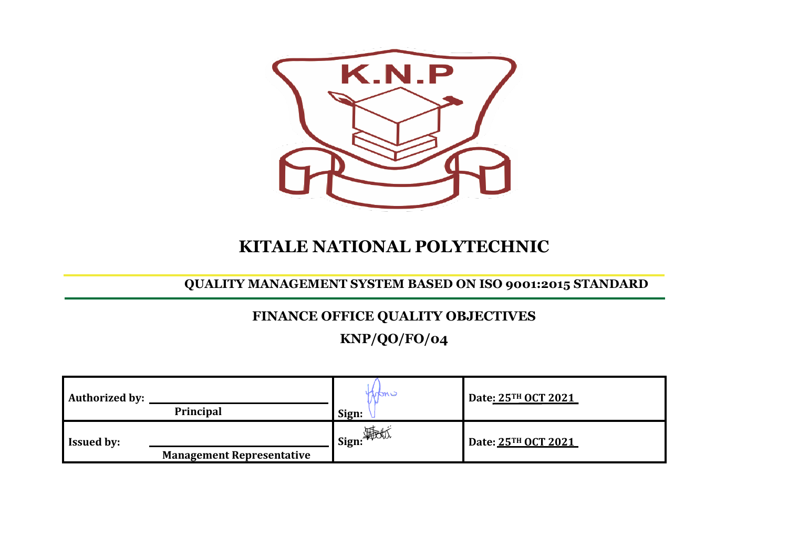

# **KITALE NATIONAL POLYTECHNIC**

### **QUALITY MANAGEMENT SYSTEM BASED ON ISO 9001:2015 STANDARD**

## **FINANCE OFFICE QUALITY OBJECTIVES**

**KNP/QO/FO/04**

| <b>Authorized by:</b> | Principal                        | Iran'<br>Sign:      | Date: 25TH OCT 2021 |
|-----------------------|----------------------------------|---------------------|---------------------|
| <b>Issued by:</b>     | <b>Management Representative</b> | <b>__1 Sign:</b> \$ | Date: 25TH OCT 2021 |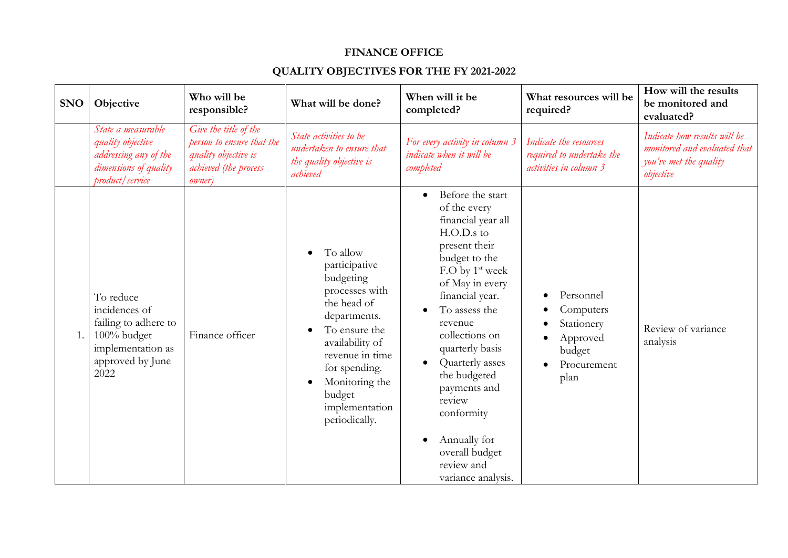#### **FINANCE OFFICE**

### **QUALITY OBJECTIVES FOR THE FY 2021-2022**

| <b>SNO</b> | Objective                                                                                                          | Who will be<br>responsible?                                                                                           | What will be done?                                                                                                                                                                                                                          | When will it be<br>completed?                                                                                                                                                                                                                                                                                                                                                                                             | What resources will be<br>required?                                               | How will the results<br>be monitored and<br>evaluated?                                              |
|------------|--------------------------------------------------------------------------------------------------------------------|-----------------------------------------------------------------------------------------------------------------------|---------------------------------------------------------------------------------------------------------------------------------------------------------------------------------------------------------------------------------------------|---------------------------------------------------------------------------------------------------------------------------------------------------------------------------------------------------------------------------------------------------------------------------------------------------------------------------------------------------------------------------------------------------------------------------|-----------------------------------------------------------------------------------|-----------------------------------------------------------------------------------------------------|
|            | State a measurable<br>quality objective<br>addressing any of the<br>dimensions of quality<br>product / service     | Give the title of the<br>person to ensure that the<br>quality objective is<br>achieved (the process<br><i>owner</i> ) | State activities to be<br>undertaken to ensure that<br>the quality objective is<br>achieved                                                                                                                                                 | For every activity in column 3<br>indicate when it will be<br>completed                                                                                                                                                                                                                                                                                                                                                   | Indicate the resources<br>required to undertake the<br>activities in column 3     | Indicate how results will be<br>monitored and evaluated that<br>you've met the quality<br>objective |
| 1.         | To reduce<br>incidences of<br>failing to adhere to<br>100% budget<br>implementation as<br>approved by June<br>2022 | Finance officer                                                                                                       | To allow<br>participative<br>budgeting<br>processes with<br>the head of<br>departments.<br>To ensure the<br>availability of<br>revenue in time<br>for spending.<br>Monitoring the<br>$\bullet$<br>budget<br>implementation<br>periodically. | Before the start<br>$\bullet$<br>of the every<br>financial year all<br>$H.O.D.s$ to<br>present their<br>budget to the<br>F.O by 1 <sup>st</sup> week<br>of May in every<br>financial year.<br>To assess the<br>revenue<br>collections on<br>quarterly basis<br>Quarterly asses<br>$\bullet$<br>the budgeted<br>payments and<br>review<br>conformity<br>Annually for<br>overall budget<br>review and<br>variance analysis. | Personnel<br>Computers<br>Stationery<br>Approved<br>budget<br>Procurement<br>plan | Review of variance<br>analysis                                                                      |